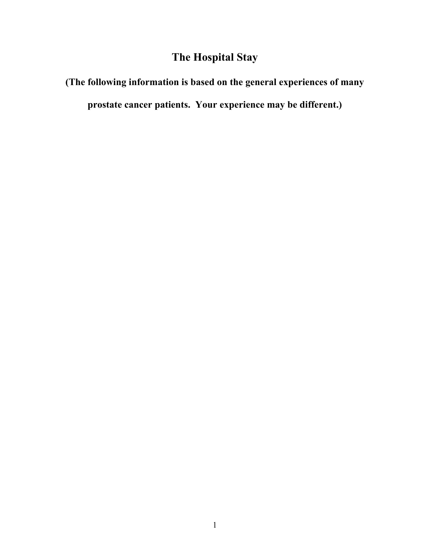# **The Hospital Stay**

# **(The following information is based on the general experiences of many**

**prostate cancer patients. Your experience may be different.)**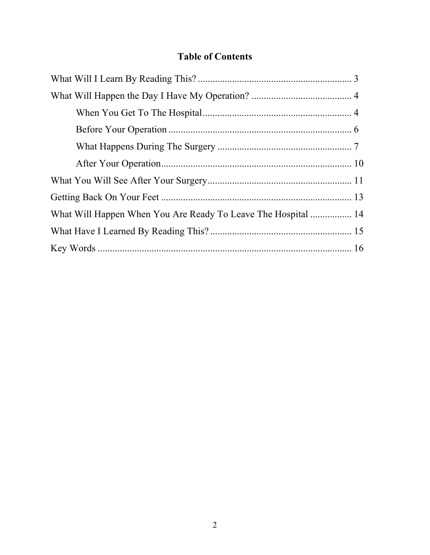# **Table of Contents**

| What Will Happen When You Are Ready To Leave The Hospital  14 |  |
|---------------------------------------------------------------|--|
|                                                               |  |
|                                                               |  |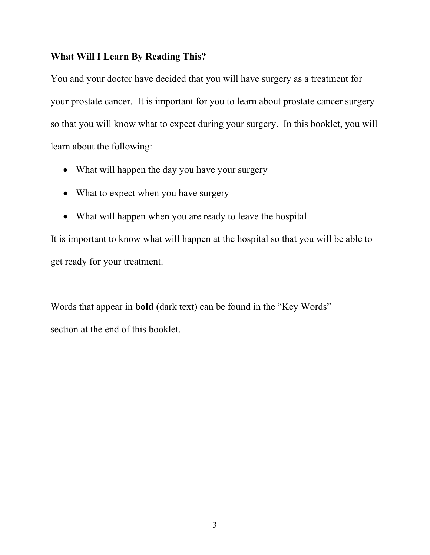#### **What Will I Learn By Reading This?**

You and your doctor have decided that you will have surgery as a treatment for your prostate cancer. It is important for you to learn about prostate cancer surgery so that you will know what to expect during your surgery. In this booklet, you will learn about the following:

- What will happen the day you have your surgery
- What to expect when you have surgery
- What will happen when you are ready to leave the hospital

It is important to know what will happen at the hospital so that you will be able to get ready for your treatment.

Words that appear in **bold** (dark text) can be found in the "Key Words" section at the end of this booklet.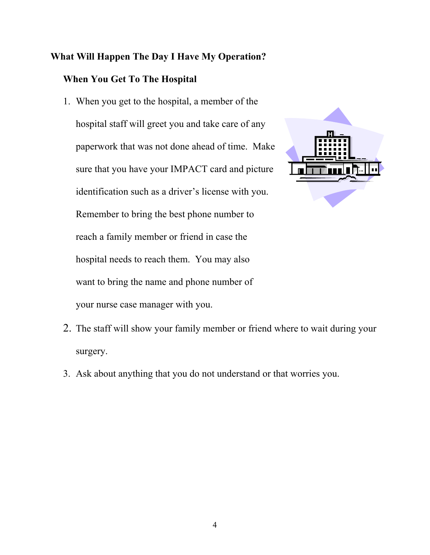# **What Will Happen The Day I Have My Operation?**

# **When You Get To The Hospital**

1. When you get to the hospital, a member of the hospital staff will greet you and take care of any paperwork that was not done ahead of time. Make sure that you have your IMPACT card and picture identification such as a driver's license with you. Remember to bring the best phone number to reach a family member or friend in case the hospital needs to reach them. You may also want to bring the name and phone number of your nurse case manager with you.



- 2. The staff will show your family member or friend where to wait during your surgery.
- 3. Ask about anything that you do not understand or that worries you.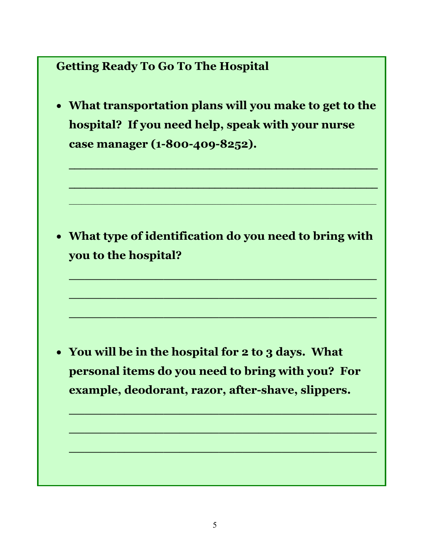# **Getting Ready To Go To The Hospital**

• **What transportation plans will you make to get to the hospital? If you need help, speak with your nurse case manager (1-800-409-8252).** 

**\_\_\_\_\_\_\_\_\_\_\_\_\_\_\_\_\_\_\_\_\_\_\_\_\_\_\_\_\_\_\_\_\_\_\_\_\_\_\_\_\_\_\_\_\_\_\_\_\_\_\_\_\_\_\_**

**\_\_\_\_\_\_\_\_\_\_\_\_\_\_\_\_\_\_\_\_\_\_\_\_\_\_\_\_\_\_\_\_\_\_\_\_\_\_\_\_\_\_\_\_\_\_\_\_\_\_\_\_\_\_\_**

 $\mathcal{L}_\mathcal{L} = \mathcal{L}_\mathcal{L} = \mathcal{L}_\mathcal{L} = \mathcal{L}_\mathcal{L} = \mathcal{L}_\mathcal{L} = \mathcal{L}_\mathcal{L} = \mathcal{L}_\mathcal{L} = \mathcal{L}_\mathcal{L} = \mathcal{L}_\mathcal{L} = \mathcal{L}_\mathcal{L} = \mathcal{L}_\mathcal{L} = \mathcal{L}_\mathcal{L} = \mathcal{L}_\mathcal{L} = \mathcal{L}_\mathcal{L} = \mathcal{L}_\mathcal{L} = \mathcal{L}_\mathcal{L} = \mathcal{L}_\mathcal{L}$ 

• **What type of identification do you need to bring with you to the hospital?** 

**\_\_\_\_\_\_\_\_\_\_\_\_\_\_\_\_\_\_\_\_\_\_\_\_\_\_\_\_\_\_\_\_\_\_\_\_\_\_\_**

**\_\_\_\_\_\_\_\_\_\_\_\_\_\_\_\_\_\_\_\_\_\_\_\_\_\_\_\_\_\_\_\_\_\_\_\_\_\_\_**

**\_\_\_\_\_\_\_\_\_\_\_\_\_\_\_\_\_\_\_\_\_\_\_\_\_\_\_\_\_\_\_\_\_\_\_\_\_\_\_**

**\_\_\_\_\_\_\_\_\_\_\_\_\_\_\_\_\_\_\_\_\_\_\_\_\_\_\_\_\_\_\_\_\_\_\_\_\_\_\_**

**\_\_\_\_\_\_\_\_\_\_\_\_\_\_\_\_\_\_\_\_\_\_\_\_\_\_\_\_\_\_\_\_\_\_\_\_\_\_\_**

**\_\_\_\_\_\_\_\_\_\_\_\_\_\_\_\_\_\_\_\_\_\_\_\_\_\_\_\_\_\_\_\_\_\_\_\_\_\_\_**

• **You will be in the hospital for 2 to 3 days. What personal items do you need to bring with you? For example, deodorant, razor, after-shave, slippers.**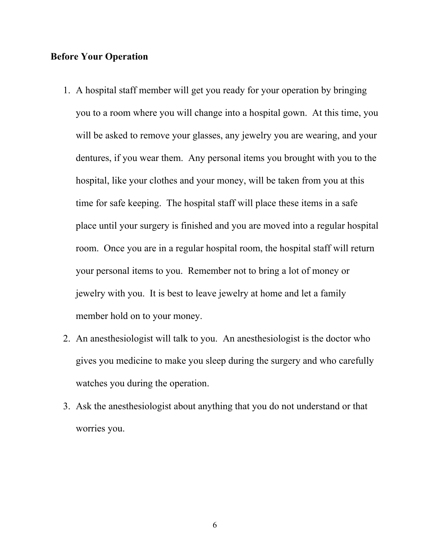#### **Before Your Operation**

- 1. A hospital staff member will get you ready for your operation by bringing you to a room where you will change into a hospital gown. At this time, you will be asked to remove your glasses, any jewelry you are wearing, and your dentures, if you wear them. Any personal items you brought with you to the hospital, like your clothes and your money, will be taken from you at this time for safe keeping. The hospital staff will place these items in a safe place until your surgery is finished and you are moved into a regular hospital room. Once you are in a regular hospital room, the hospital staff will return your personal items to you. Remember not to bring a lot of money or jewelry with you. It is best to leave jewelry at home and let a family member hold on to your money.
- 2. An anesthesiologist will talk to you. An anesthesiologist is the doctor who gives you medicine to make you sleep during the surgery and who carefully watches you during the operation.
- 3. Ask the anesthesiologist about anything that you do not understand or that worries you.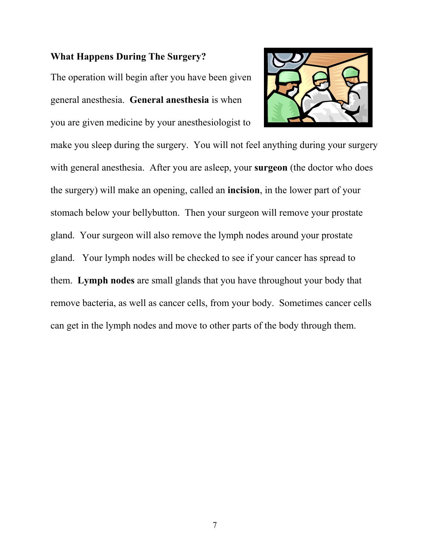## **What Happens During The Surgery?**

The operation will begin after you have been given general anesthesia. **General anesthesia** is when you are given medicine by your anesthesiologist to



make you sleep during the surgery. You will not feel anything during your surgery with general anesthesia. After you are asleep, your **surgeon** (the doctor who does the surgery) will make an opening, called an **incision**, in the lower part of your stomach below your bellybutton. Then your surgeon will remove your prostate gland. Your surgeon will also remove the lymph nodes around your prostate gland. Your lymph nodes will be checked to see if your cancer has spread to them. **Lymph nodes** are small glands that you have throughout your body that remove bacteria, as well as cancer cells, from your body. Sometimes cancer cells can get in the lymph nodes and move to other parts of the body through them.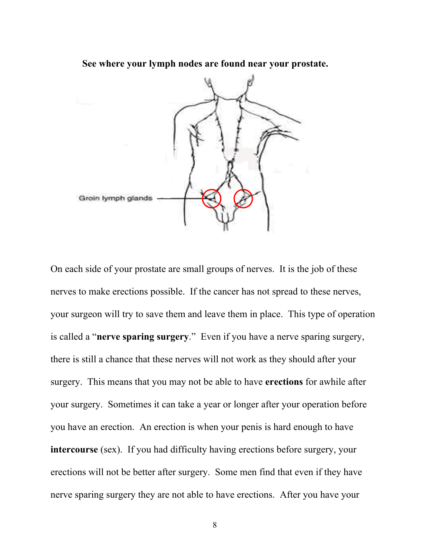**See where your lymph nodes are found near your prostate.** 



On each side of your prostate are small groups of nerves. It is the job of these nerves to make erections possible. If the cancer has not spread to these nerves, your surgeon will try to save them and leave them in place. This type of operation is called a "**nerve sparing surgery**." Even if you have a nerve sparing surgery, there is still a chance that these nerves will not work as they should after your surgery. This means that you may not be able to have **erections** for awhile after your surgery. Sometimes it can take a year or longer after your operation before you have an erection. An erection is when your penis is hard enough to have **intercourse** (sex). If you had difficulty having erections before surgery, your erections will not be better after surgery. Some men find that even if they have nerve sparing surgery they are not able to have erections. After you have your

8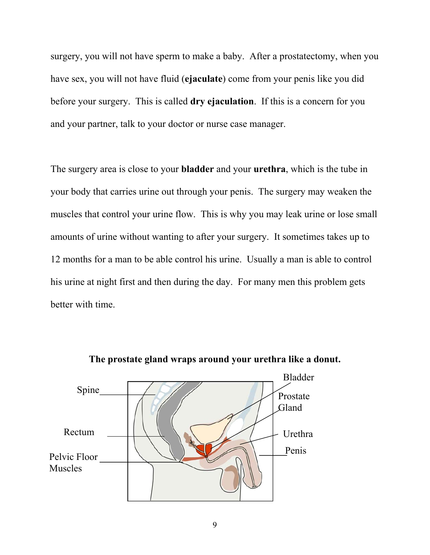surgery, you will not have sperm to make a baby. After a prostatectomy, when you have sex, you will not have fluid (**ejaculate**) come from your penis like you did before your surgery. This is called **dry ejaculation**. If this is a concern for you and your partner, talk to your doctor or nurse case manager.

The surgery area is close to your **bladder** and your **urethra**, which is the tube in your body that carries urine out through your penis. The surgery may weaken the muscles that control your urine flow. This is why you may leak urine or lose small amounts of urine without wanting to after your surgery. It sometimes takes up to 12 months for a man to be able control his urine. Usually a man is able to control his urine at night first and then during the day. For many men this problem gets better with time.



**The prostate gland wraps around your urethra like a donut.**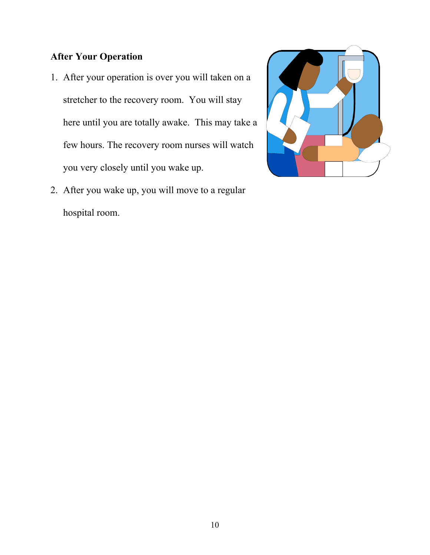# **After Your Operation**

- 1. After your operation is over you will taken on a stretcher to the recovery room. You will stay here until you are totally awake. This may take a few hours. The recovery room nurses will watch you very closely until you wake up.
- 2. After you wake up, you will move to a regular hospital room.

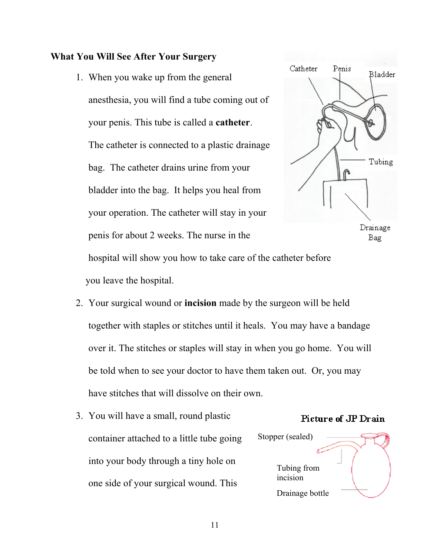## **What You Will See After Your Surgery**

1. When you wake up from the general anesthesia, you will find a tube coming out of your penis. This tube is called a **catheter**. The catheter is connected to a plastic drainage bag. The catheter drains urine from your bladder into the bag. It helps you heal from your operation. The catheter will stay in your penis for about 2 weeks. The nurse in the





hospital will show you how to take care of the catheter before you leave the hospital.

- 2. Your surgical wound or **incision** made by the surgeon will be held together with staples or stitches until it heals. You may have a bandage over it. The stitches or staples will stay in when you go home. You will be told when to see your doctor to have them taken out. Or, you may have stitches that will dissolve on their own.
- 3. You will have a small, round plastic container attached to a little tube going into your body through a tiny hole on one side of your surgical wound. This

# Picture of JP Drain

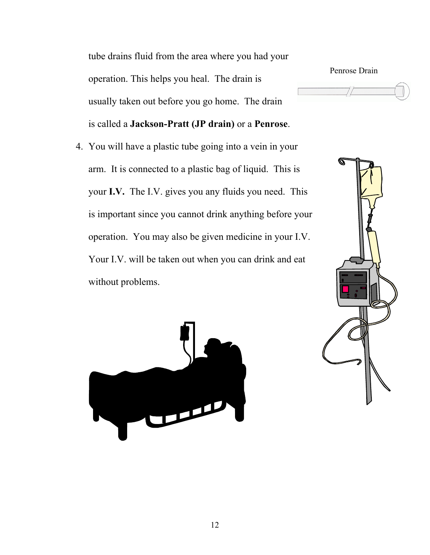tube drains fluid from the area where you had your operation. This helps you heal. The drain is usually taken out before you go home. The drain is called a **Jackson-Pratt (JP drain)** or a **Penrose**.

4. You will have a plastic tube going into a vein in your arm. It is connected to a plastic bag of liquid. This is your **I.V.** The I.V. gives you any fluids you need. This is important since you cannot drink anything before your operation. You may also be given medicine in your I.V. Your I.V. will be taken out when you can drink and eat without problems.





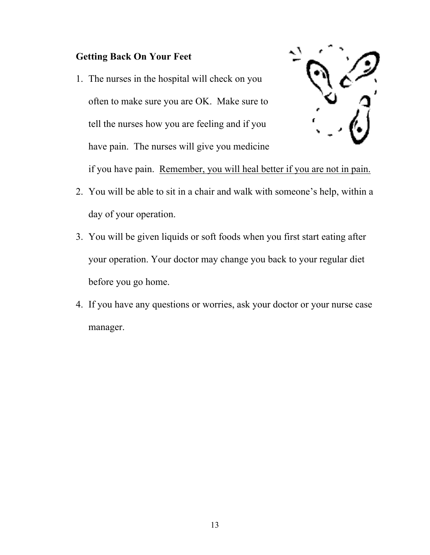## **Getting Back On Your Feet**

1. The nurses in the hospital will check on you often to make sure you are OK. Make sure to tell the nurses how you are feeling and if you have pain. The nurses will give you medicine



if you have pain. Remember, you will heal better if you are not in pain.

- 2. You will be able to sit in a chair and walk with someone's help, within a day of your operation.
- 3. You will be given liquids or soft foods when you first start eating after your operation. Your doctor may change you back to your regular diet before you go home.
- 4. If you have any questions or worries, ask your doctor or your nurse case manager.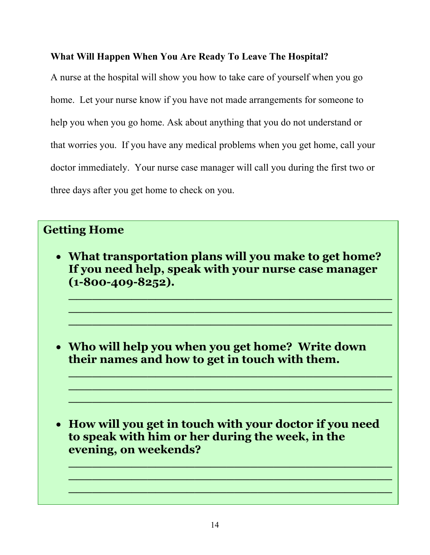### **What Will Happen When You Are Ready To Leave The Hospital?**

A nurse at the hospital will show you how to take care of yourself when you go home. Let your nurse know if you have not made arrangements for someone to help you when you go home. Ask about anything that you do not understand or that worries you. If you have any medical problems when you get home, call your doctor immediately. Your nurse case manager will call you during the first two or three days after you get home to check on you.

# **Getting Home**

• **What transportation plans will you make to get home? If you need help, speak with your nurse case manager (1-800-409-8252).** 

**\_\_\_\_\_\_\_\_\_\_\_\_\_\_\_\_\_\_\_\_\_\_\_\_\_\_\_\_\_\_\_\_\_\_\_\_\_\_\_\_\_ \_\_\_\_\_\_\_\_\_\_\_\_\_\_\_\_\_\_\_\_\_\_\_\_\_\_\_\_\_\_\_\_\_\_\_\_\_\_\_\_\_ \_\_\_\_\_\_\_\_\_\_\_\_\_\_\_\_\_\_\_\_\_\_\_\_\_\_\_\_\_\_\_\_\_\_\_\_\_\_\_\_\_**

**\_\_\_\_\_\_\_\_\_\_\_\_\_\_\_\_\_\_\_\_\_\_\_\_\_\_\_\_\_\_\_\_\_\_\_\_\_\_\_\_\_ \_\_\_\_\_\_\_\_\_\_\_\_\_\_\_\_\_\_\_\_\_\_\_\_\_\_\_\_\_\_\_\_\_\_\_\_\_\_\_\_\_ \_\_\_\_\_\_\_\_\_\_\_\_\_\_\_\_\_\_\_\_\_\_\_\_\_\_\_\_\_\_\_\_\_\_\_\_\_\_\_\_\_**

• **Who will help you when you get home? Write down their names and how to get in touch with them.** 

• **How will you get in touch with your doctor if you need to speak with him or her during the week, in the evening, on weekends?** 

**\_\_\_\_\_\_\_\_\_\_\_\_\_\_\_\_\_\_\_\_\_\_\_\_\_\_\_\_\_\_\_\_\_\_\_\_\_\_\_\_\_ \_\_\_\_\_\_\_\_\_\_\_\_\_\_\_\_\_\_\_\_\_\_\_\_\_\_\_\_\_\_\_\_\_\_\_\_\_\_\_\_\_ \_\_\_\_\_\_\_\_\_\_\_\_\_\_\_\_\_\_\_\_\_\_\_\_\_\_\_\_\_\_\_\_\_\_\_\_\_\_\_\_\_**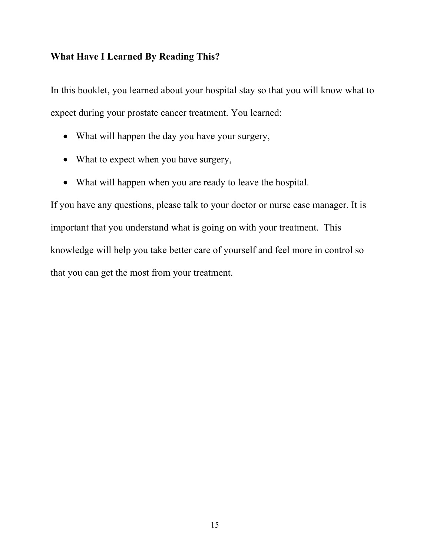#### **What Have I Learned By Reading This?**

In this booklet, you learned about your hospital stay so that you will know what to expect during your prostate cancer treatment. You learned:

- What will happen the day you have your surgery,
- What to expect when you have surgery,
- What will happen when you are ready to leave the hospital.

If you have any questions, please talk to your doctor or nurse case manager. It is important that you understand what is going on with your treatment. This knowledge will help you take better care of yourself and feel more in control so that you can get the most from your treatment.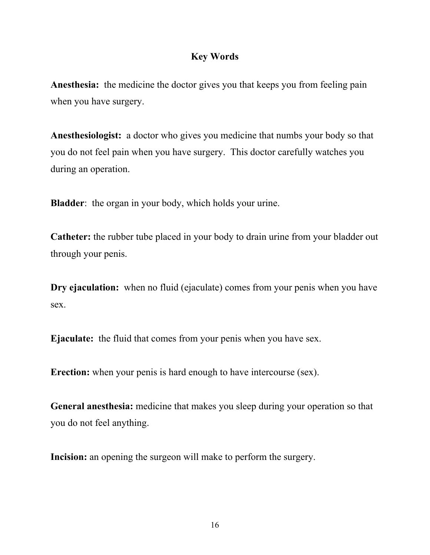## **Key Words**

**Anesthesia:** the medicine the doctor gives you that keeps you from feeling pain when you have surgery.

**Anesthesiologist:** a doctor who gives you medicine that numbs your body so that you do not feel pain when you have surgery. This doctor carefully watches you during an operation.

**Bladder**: the organ in your body, which holds your urine.

**Catheter:** the rubber tube placed in your body to drain urine from your bladder out through your penis.

**Dry ejaculation:** when no fluid (ejaculate) comes from your penis when you have sex.

**Ejaculate:** the fluid that comes from your penis when you have sex.

**Erection:** when your penis is hard enough to have intercourse (sex).

General anesthesia: medicine that makes you sleep during your operation so that you do not feel anything.

**Incision:** an opening the surgeon will make to perform the surgery.